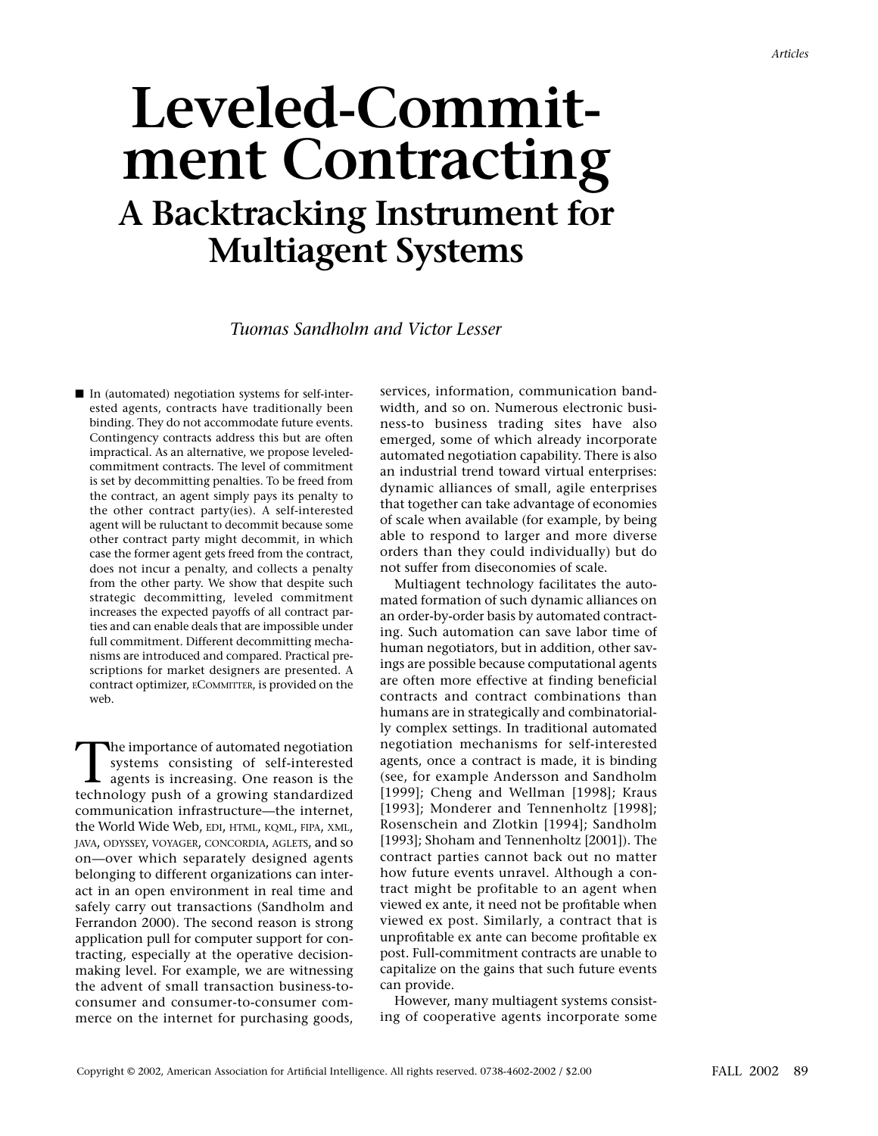# **Leveled-Commitment Contracting A Backtracking Instrument for Multiagent Systems**

#### *Tuomas Sandholm and Victor Lesser*

■ In (automated) negotiation systems for self-interested agents, contracts have traditionally been binding. They do not accommodate future events. Contingency contracts address this but are often impractical. As an alternative, we propose leveledcommitment contracts. The level of commitment is set by decommitting penalties. To be freed from the contract, an agent simply pays its penalty to the other contract party(ies). A self-interested agent will be ruluctant to decommit because some other contract party might decommit, in which case the former agent gets freed from the contract, does not incur a penalty, and collects a penalty from the other party. We show that despite such strategic decommitting, leveled commitment increases the expected payoffs of all contract parties and can enable deals that are impossible under full commitment. Different decommitting mechanisms are introduced and compared. Practical prescriptions for market designers are presented. A contract optimizer, ECOMMITTER, is provided on the web.

The importance of automated negotiation systems consisting of self-interested agents is increasing. One reason is the technology push of a growing standardized communication infrastructure—the internet, the World Wide Web, EDI, HTML, KQML, FIPA, XML, JAVA, ODYSSEY, VOYAGER, CONCORDIA, AGLETS, and so on—over which separately designed agents belonging to different organizations can interact in an open environment in real time and safely carry out transactions (Sandholm and Ferrandon 2000). The second reason is strong application pull for computer support for contracting, especially at the operative decisionmaking level. For example, we are witnessing the advent of small transaction business-toconsumer and consumer-to-consumer commerce on the internet for purchasing goods, services, information, communication bandwidth, and so on. Numerous electronic business-to business trading sites have also emerged, some of which already incorporate automated negotiation capability. There is also an industrial trend toward virtual enterprises: dynamic alliances of small, agile enterprises that together can take advantage of economies of scale when available (for example, by being able to respond to larger and more diverse orders than they could individually) but do not suffer from diseconomies of scale.

Multiagent technology facilitates the automated formation of such dynamic alliances on an order-by-order basis by automated contracting. Such automation can save labor time of human negotiators, but in addition, other savings are possible because computational agents are often more effective at finding beneficial contracts and contract combinations than humans are in strategically and combinatorially complex settings. In traditional automated negotiation mechanisms for self-interested agents, once a contract is made, it is binding (see, for example Andersson and Sandholm [1999]; Cheng and Wellman [1998]; Kraus [1993]; Monderer and Tennenholtz [1998]; Rosenschein and Zlotkin [1994]; Sandholm [1993]; Shoham and Tennenholtz [2001]). The contract parties cannot back out no matter how future events unravel. Although a contract might be profitable to an agent when viewed ex ante, it need not be profitable when viewed ex post. Similarly, a contract that is unprofitable ex ante can become profitable ex post. Full-commitment contracts are unable to capitalize on the gains that such future events can provide.

However, many multiagent systems consisting of cooperative agents incorporate some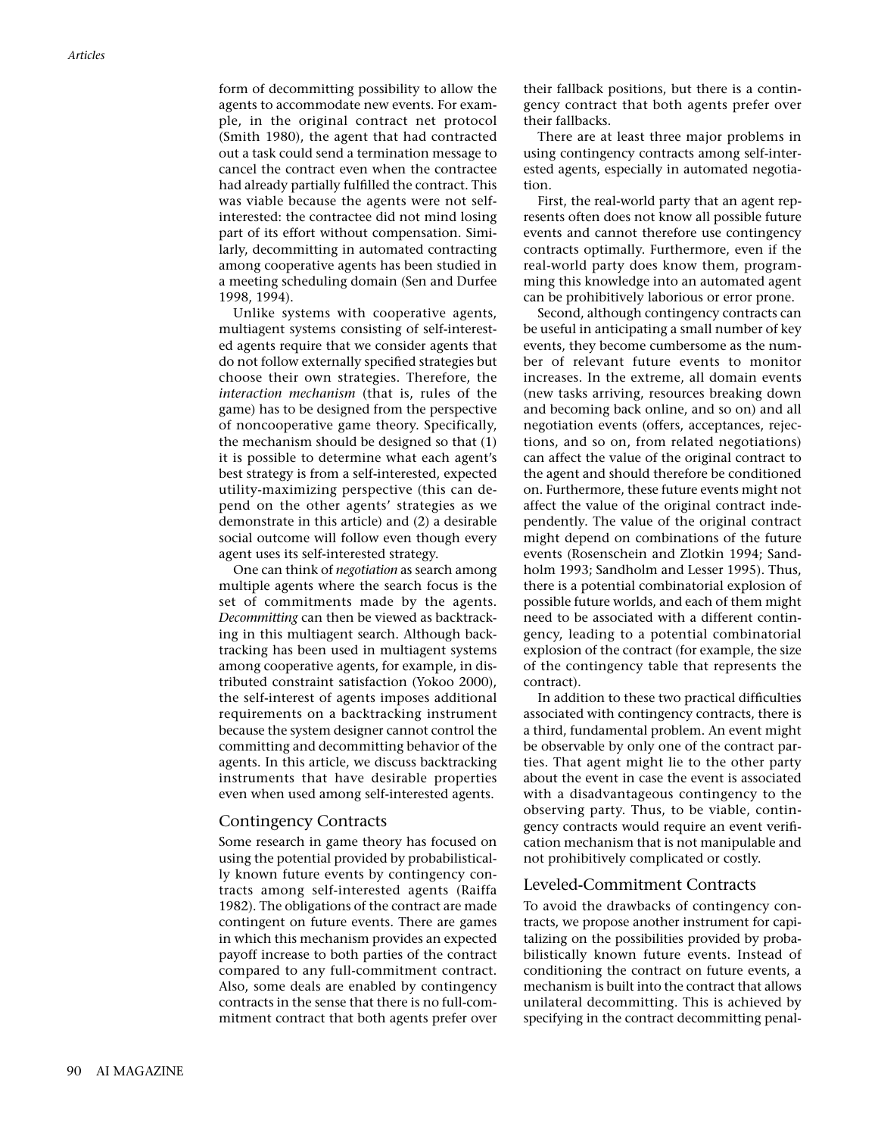form of decommitting possibility to allow the agents to accommodate new events. For example, in the original contract net protocol (Smith 1980), the agent that had contracted out a task could send a termination message to cancel the contract even when the contractee had already partially fulfilled the contract. This was viable because the agents were not selfinterested: the contractee did not mind losing part of its effort without compensation. Similarly, decommitting in automated contracting among cooperative agents has been studied in a meeting scheduling domain (Sen and Durfee 1998, 1994).

Unlike systems with cooperative agents, multiagent systems consisting of self-interested agents require that we consider agents that do not follow externally specified strategies but choose their own strategies. Therefore, the *interaction mechanism* (that is, rules of the game) has to be designed from the perspective of noncooperative game theory. Specifically, the mechanism should be designed so that (1) it is possible to determine what each agent's best strategy is from a self-interested, expected utility-maximizing perspective (this can depend on the other agents' strategies as we demonstrate in this article) and (2) a desirable social outcome will follow even though every agent uses its self-interested strategy.

One can think of *negotiation* as search among multiple agents where the search focus is the set of commitments made by the agents. *Decommitting* can then be viewed as backtracking in this multiagent search. Although backtracking has been used in multiagent systems among cooperative agents, for example, in distributed constraint satisfaction (Yokoo 2000), the self-interest of agents imposes additional requirements on a backtracking instrument because the system designer cannot control the committing and decommitting behavior of the agents. In this article, we discuss backtracking instruments that have desirable properties even when used among self-interested agents.

#### Contingency Contracts

Some research in game theory has focused on using the potential provided by probabilistically known future events by contingency contracts among self-interested agents (Raiffa 1982). The obligations of the contract are made contingent on future events. There are games in which this mechanism provides an expected payoff increase to both parties of the contract compared to any full-commitment contract. Also, some deals are enabled by contingency contracts in the sense that there is no full-commitment contract that both agents prefer over

their fallback positions, but there is a contingency contract that both agents prefer over their fallbacks.

There are at least three major problems in using contingency contracts among self-interested agents, especially in automated negotiation.

First, the real-world party that an agent represents often does not know all possible future events and cannot therefore use contingency contracts optimally. Furthermore, even if the real-world party does know them, programming this knowledge into an automated agent can be prohibitively laborious or error prone.

Second, although contingency contracts can be useful in anticipating a small number of key events, they become cumbersome as the number of relevant future events to monitor increases. In the extreme, all domain events (new tasks arriving, resources breaking down and becoming back online, and so on) and all negotiation events (offers, acceptances, rejections, and so on, from related negotiations) can affect the value of the original contract to the agent and should therefore be conditioned on. Furthermore, these future events might not affect the value of the original contract independently. The value of the original contract might depend on combinations of the future events (Rosenschein and Zlotkin 1994; Sandholm 1993; Sandholm and Lesser 1995). Thus, there is a potential combinatorial explosion of possible future worlds, and each of them might need to be associated with a different contingency, leading to a potential combinatorial explosion of the contract (for example, the size of the contingency table that represents the contract).

In addition to these two practical difficulties associated with contingency contracts, there is a third, fundamental problem. An event might be observable by only one of the contract parties. That agent might lie to the other party about the event in case the event is associated with a disadvantageous contingency to the observing party. Thus, to be viable, contingency contracts would require an event verification mechanism that is not manipulable and not prohibitively complicated or costly.

#### Leveled-Commitment Contracts

To avoid the drawbacks of contingency contracts, we propose another instrument for capitalizing on the possibilities provided by probabilistically known future events. Instead of conditioning the contract on future events, a mechanism is built into the contract that allows unilateral decommitting. This is achieved by specifying in the contract decommitting penal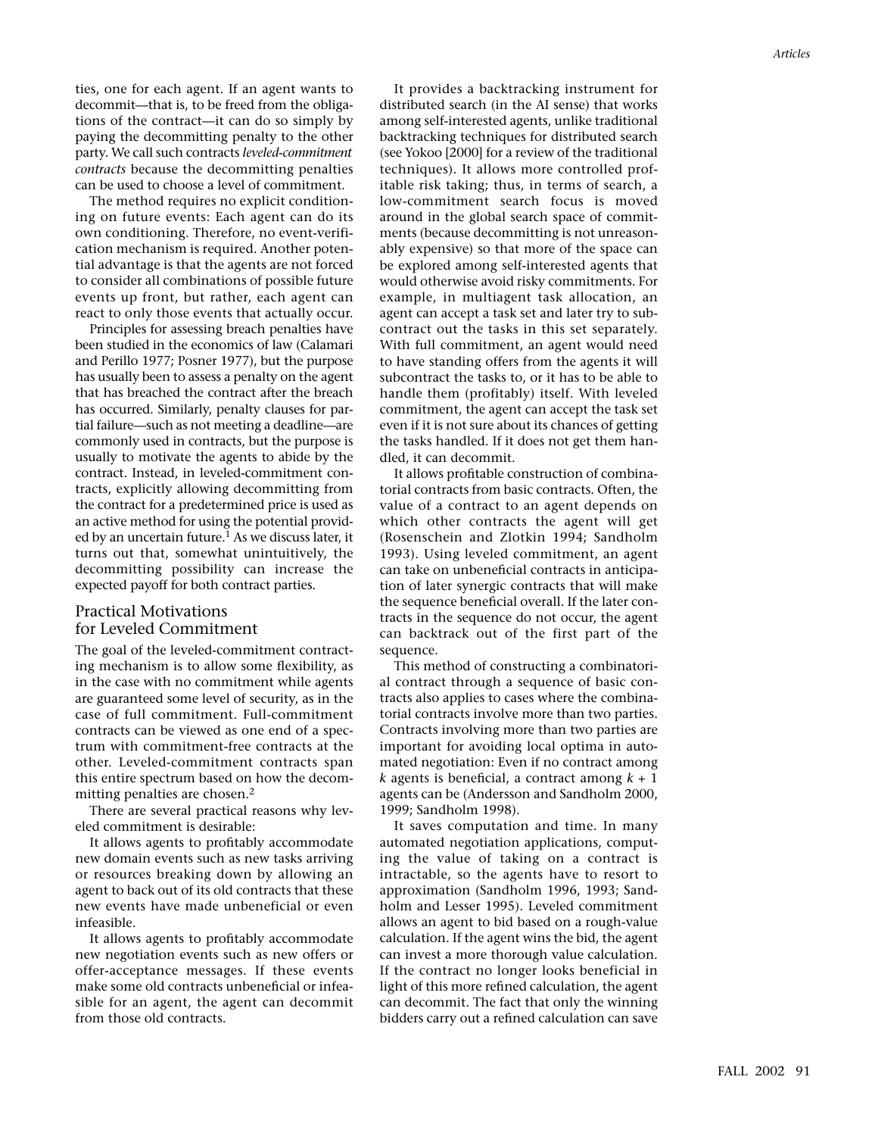ties, one for each agent. If an agent wants to decommit—that is, to be freed from the obligations of the contract—it can do so simply by paying the decommitting penalty to the other party. We call such contracts *leveled-commitment contracts* because the decommitting penalties can be used to choose a level of commitment.

The method requires no explicit conditioning on future events: Each agent can do its own conditioning. Therefore, no event-verification mechanism is required. Another potential advantage is that the agents are not forced to consider all combinations of possible future events up front, but rather, each agent can react to only those events that actually occur.

Principles for assessing breach penalties have been studied in the economics of law (Calamari and Perillo 1977; Posner 1977), but the purpose has usually been to assess a penalty on the agent that has breached the contract after the breach has occurred. Similarly, penalty clauses for partial failure—such as not meeting a deadline—are commonly used in contracts, but the purpose is usually to motivate the agents to abide by the contract. Instead, in leveled-commitment contracts, explicitly allowing decommitting from the contract for a predetermined price is used as an active method for using the potential provided by an uncertain future.<sup>1</sup> As we discuss later, it turns out that, somewhat unintuitively, the decommitting possibility can increase the expected payoff for both contract parties.

#### Practical Motivations for Leveled Commitment

The goal of the leveled-commitment contracting mechanism is to allow some flexibility, as in the case with no commitment while agents are guaranteed some level of security, as in the case of full commitment. Full-commitment contracts can be viewed as one end of a spectrum with commitment-free contracts at the other. Leveled-commitment contracts span this entire spectrum based on how the decommitting penalties are chosen.<sup>2</sup>

There are several practical reasons why leveled commitment is desirable:

It allows agents to profitably accommodate new domain events such as new tasks arriving or resources breaking down by allowing an agent to back out of its old contracts that these new events have made unbeneficial or even infeasible.

It allows agents to profitably accommodate new negotiation events such as new offers or offer-acceptance messages. If these events make some old contracts unbeneficial or infeasible for an agent, the agent can decommit from those old contracts.

It provides a backtracking instrument for distributed search (in the AI sense) that works among self-interested agents, unlike traditional backtracking techniques for distributed search (see Yokoo [2000] for a review of the traditional techniques). It allows more controlled profitable risk taking; thus, in terms of search, a low-commitment search focus is moved around in the global search space of commitments (because decommitting is not unreasonably expensive) so that more of the space can be explored among self-interested agents that would otherwise avoid risky commitments. For example, in multiagent task allocation, an agent can accept a task set and later try to subcontract out the tasks in this set separately. With full commitment, an agent would need to have standing offers from the agents it will subcontract the tasks to, or it has to be able to handle them (profitably) itself. With leveled commitment, the agent can accept the task set even if it is not sure about its chances of getting the tasks handled. If it does not get them handled, it can decommit.

It allows profitable construction of combinatorial contracts from basic contracts. Often, the value of a contract to an agent depends on which other contracts the agent will get (Rosenschein and Zlotkin 1994; Sandholm 1993). Using leveled commitment, an agent can take on unbeneficial contracts in anticipation of later synergic contracts that will make the sequence beneficial overall. If the later contracts in the sequence do not occur, the agent can backtrack out of the first part of the sequence.

This method of constructing a combinatorial contract through a sequence of basic contracts also applies to cases where the combinatorial contracts involve more than two parties. Contracts involving more than two parties are important for avoiding local optima in automated negotiation: Even if no contract among *k* agents is beneficial, a contract among *k* + 1 agents can be (Andersson and Sandholm 2000, 1999; Sandholm 1998).

It saves computation and time. In many automated negotiation applications, computing the value of taking on a contract is intractable, so the agents have to resort to approximation (Sandholm 1996, 1993; Sandholm and Lesser 1995). Leveled commitment allows an agent to bid based on a rough-value calculation. If the agent wins the bid, the agent can invest a more thorough value calculation. If the contract no longer looks beneficial in light of this more refined calculation, the agent can decommit. The fact that only the winning bidders carry out a refined calculation can save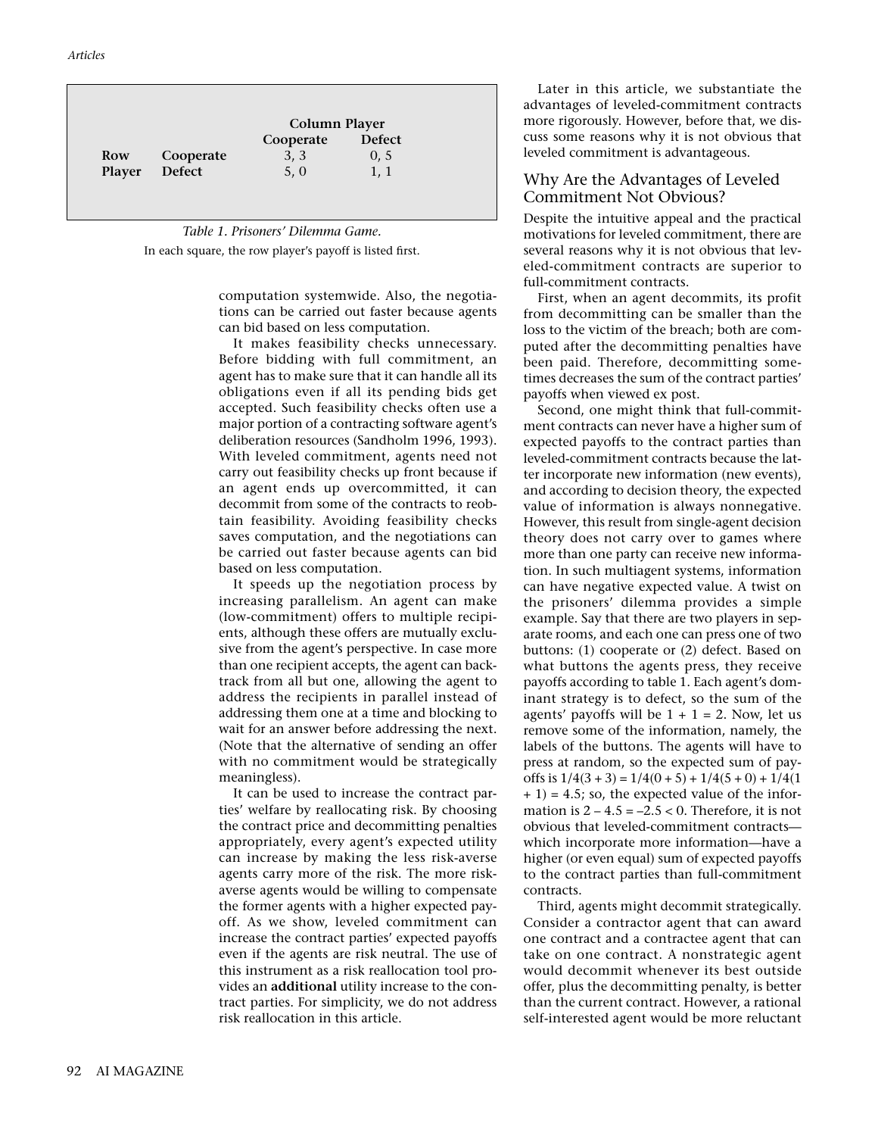|        |               | Column Player |               |
|--------|---------------|---------------|---------------|
|        |               | Cooperate     | <b>Defect</b> |
| Row    | Cooperate     | 3, 3          | 0, 5          |
| Player | <b>Defect</b> | 5, 0          | 1, 1          |



computation systemwide. Also, the negotiations can be carried out faster because agents can bid based on less computation.

It makes feasibility checks unnecessary. Before bidding with full commitment, an agent has to make sure that it can handle all its obligations even if all its pending bids get accepted. Such feasibility checks often use a major portion of a contracting software agent's deliberation resources (Sandholm 1996, 1993). With leveled commitment, agents need not carry out feasibility checks up front because if an agent ends up overcommitted, it can decommit from some of the contracts to reobtain feasibility. Avoiding feasibility checks saves computation, and the negotiations can be carried out faster because agents can bid based on less computation.

It speeds up the negotiation process by increasing parallelism. An agent can make (low-commitment) offers to multiple recipients, although these offers are mutually exclusive from the agent's perspective. In case more than one recipient accepts, the agent can backtrack from all but one, allowing the agent to address the recipients in parallel instead of addressing them one at a time and blocking to wait for an answer before addressing the next. (Note that the alternative of sending an offer with no commitment would be strategically meaningless).

It can be used to increase the contract parties' welfare by reallocating risk. By choosing the contract price and decommitting penalties appropriately, every agent's expected utility can increase by making the less risk-averse agents carry more of the risk. The more riskaverse agents would be willing to compensate the former agents with a higher expected payoff. As we show, leveled commitment can increase the contract parties' expected payoffs even if the agents are risk neutral. The use of this instrument as a risk reallocation tool provides an **additional** utility increase to the contract parties. For simplicity, we do not address risk reallocation in this article.

Later in this article, we substantiate the advantages of leveled-commitment contracts more rigorously. However, before that, we discuss some reasons why it is not obvious that leveled commitment is advantageous.

### Why Are the Advantages of Leveled Commitment Not Obvious?

Despite the intuitive appeal and the practical motivations for leveled commitment, there are several reasons why it is not obvious that leveled-commitment contracts are superior to full-commitment contracts.

First, when an agent decommits, its profit from decommitting can be smaller than the loss to the victim of the breach; both are computed after the decommitting penalties have been paid. Therefore, decommitting sometimes decreases the sum of the contract parties' payoffs when viewed ex post.

Second, one might think that full-commitment contracts can never have a higher sum of expected payoffs to the contract parties than leveled-commitment contracts because the latter incorporate new information (new events), and according to decision theory, the expected value of information is always nonnegative. However, this result from single-agent decision theory does not carry over to games where more than one party can receive new information. In such multiagent systems, information can have negative expected value. A twist on the prisoners' dilemma provides a simple example. Say that there are two players in separate rooms, and each one can press one of two buttons: (1) cooperate or (2) defect. Based on what buttons the agents press, they receive payoffs according to table 1. Each agent's dominant strategy is to defect, so the sum of the agents' payoffs will be  $1 + 1 = 2$ . Now, let us remove some of the information, namely, the labels of the buttons. The agents will have to press at random, so the expected sum of payoffs is  $1/4(3 + 3) = 1/4(0 + 5) + 1/4(5 + 0) + 1/4(1$  $+ 1$ ) = 4.5; so, the expected value of the information is  $2 - 4.5 = -2.5 < 0$ . Therefore, it is not obvious that leveled-commitment contracts which incorporate more information—have a higher (or even equal) sum of expected payoffs to the contract parties than full-commitment contracts.

Third, agents might decommit strategically. Consider a contractor agent that can award one contract and a contractee agent that can take on one contract. A nonstrategic agent would decommit whenever its best outside offer, plus the decommitting penalty, is better than the current contract. However, a rational self-interested agent would be more reluctant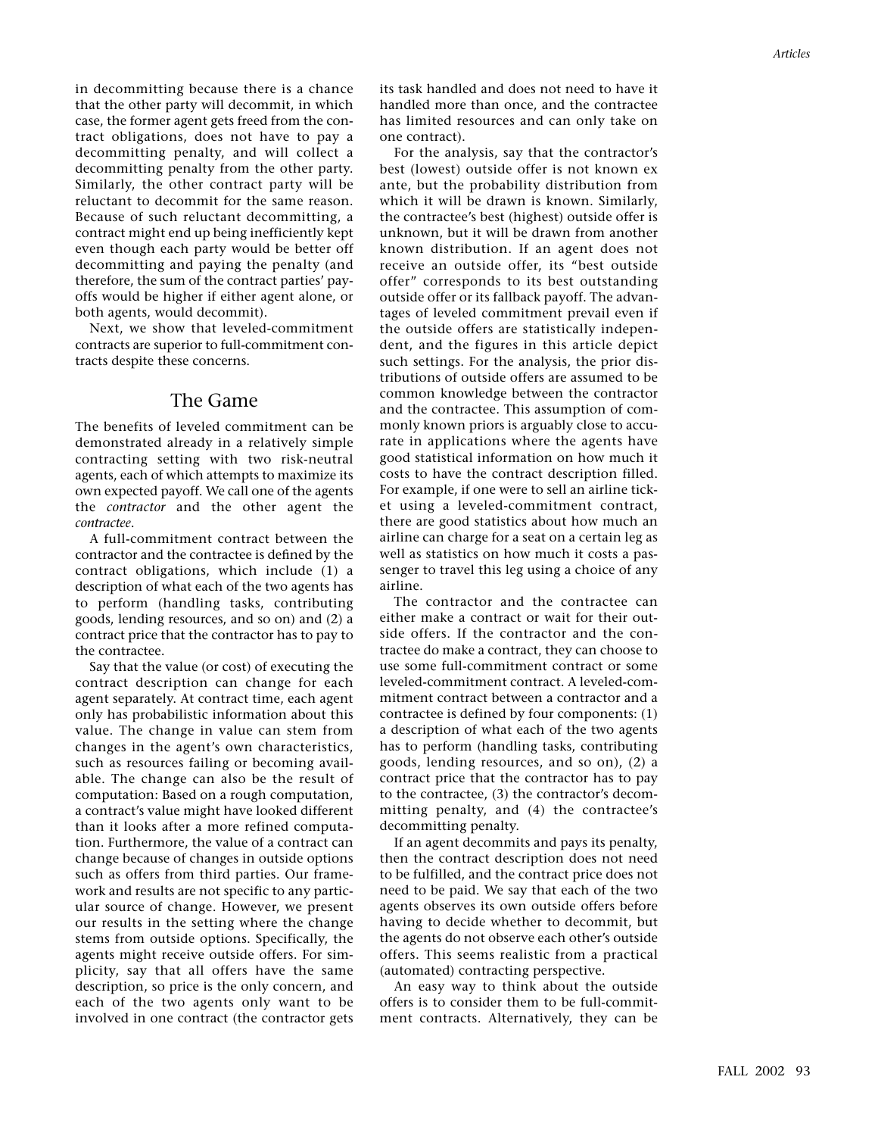in decommitting because there is a chance that the other party will decommit, in which case, the former agent gets freed from the contract obligations, does not have to pay a decommitting penalty, and will collect a decommitting penalty from the other party. Similarly, the other contract party will be reluctant to decommit for the same reason. Because of such reluctant decommitting, a contract might end up being inefficiently kept even though each party would be better off decommitting and paying the penalty (and therefore, the sum of the contract parties' payoffs would be higher if either agent alone, or both agents, would decommit).

Next, we show that leveled-commitment contracts are superior to full-commitment contracts despite these concerns.

## The Game

The benefits of leveled commitment can be demonstrated already in a relatively simple contracting setting with two risk-neutral agents, each of which attempts to maximize its own expected payoff. We call one of the agents the *contractor* and the other agent the *contractee*.

A full-commitment contract between the contractor and the contractee is defined by the contract obligations, which include (1) a description of what each of the two agents has to perform (handling tasks, contributing goods, lending resources, and so on) and (2) a contract price that the contractor has to pay to the contractee.

Say that the value (or cost) of executing the contract description can change for each agent separately. At contract time, each agent only has probabilistic information about this value. The change in value can stem from changes in the agent's own characteristics, such as resources failing or becoming available. The change can also be the result of computation: Based on a rough computation, a contract's value might have looked different than it looks after a more refined computation. Furthermore, the value of a contract can change because of changes in outside options such as offers from third parties. Our framework and results are not specific to any particular source of change. However, we present our results in the setting where the change stems from outside options. Specifically, the agents might receive outside offers. For simplicity, say that all offers have the same description, so price is the only concern, and each of the two agents only want to be involved in one contract (the contractor gets its task handled and does not need to have it handled more than once, and the contractee has limited resources and can only take on one contract).

For the analysis, say that the contractor's best (lowest) outside offer is not known ex ante, but the probability distribution from which it will be drawn is known. Similarly, the contractee's best (highest) outside offer is unknown, but it will be drawn from another known distribution. If an agent does not receive an outside offer, its "best outside offer" corresponds to its best outstanding outside offer or its fallback payoff. The advantages of leveled commitment prevail even if the outside offers are statistically independent, and the figures in this article depict such settings. For the analysis, the prior distributions of outside offers are assumed to be common knowledge between the contractor and the contractee. This assumption of commonly known priors is arguably close to accurate in applications where the agents have good statistical information on how much it costs to have the contract description filled. For example, if one were to sell an airline ticket using a leveled-commitment contract, there are good statistics about how much an airline can charge for a seat on a certain leg as well as statistics on how much it costs a passenger to travel this leg using a choice of any airline.

The contractor and the contractee can either make a contract or wait for their outside offers. If the contractor and the contractee do make a contract, they can choose to use some full-commitment contract or some leveled-commitment contract. A leveled-commitment contract between a contractor and a contractee is defined by four components: (1) a description of what each of the two agents has to perform (handling tasks, contributing goods, lending resources, and so on), (2) a contract price that the contractor has to pay to the contractee, (3) the contractor's decommitting penalty, and (4) the contractee's decommitting penalty.

If an agent decommits and pays its penalty, then the contract description does not need to be fulfilled, and the contract price does not need to be paid. We say that each of the two agents observes its own outside offers before having to decide whether to decommit, but the agents do not observe each other's outside offers. This seems realistic from a practical (automated) contracting perspective.

An easy way to think about the outside offers is to consider them to be full-commitment contracts. Alternatively, they can be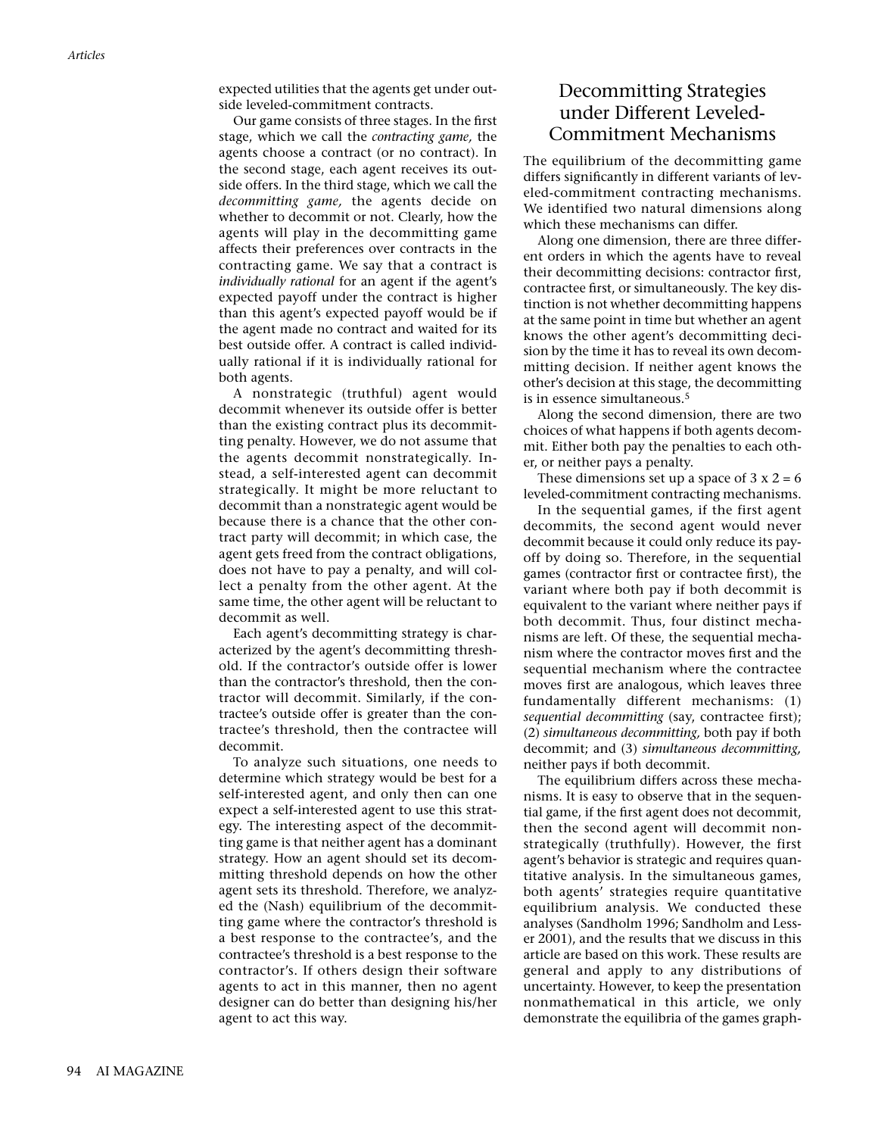expected utilities that the agents get under outside leveled-commitment contracts.

Our game consists of three stages. In the first stage, which we call the *contracting game,* the agents choose a contract (or no contract). In the second stage, each agent receives its outside offers. In the third stage, which we call the *decommitting game,* the agents decide on whether to decommit or not. Clearly, how the agents will play in the decommitting game affects their preferences over contracts in the contracting game. We say that a contract is *individually rational* for an agent if the agent's expected payoff under the contract is higher than this agent's expected payoff would be if the agent made no contract and waited for its best outside offer. A contract is called individually rational if it is individually rational for both agents.

A nonstrategic (truthful) agent would decommit whenever its outside offer is better than the existing contract plus its decommitting penalty. However, we do not assume that the agents decommit nonstrategically. Instead, a self-interested agent can decommit strategically. It might be more reluctant to decommit than a nonstrategic agent would be because there is a chance that the other contract party will decommit; in which case, the agent gets freed from the contract obligations, does not have to pay a penalty, and will collect a penalty from the other agent. At the same time, the other agent will be reluctant to decommit as well.

Each agent's decommitting strategy is characterized by the agent's decommitting threshold. If the contractor's outside offer is lower than the contractor's threshold, then the contractor will decommit. Similarly, if the contractee's outside offer is greater than the contractee's threshold, then the contractee will decommit.

To analyze such situations, one needs to determine which strategy would be best for a self-interested agent, and only then can one expect a self-interested agent to use this strategy. The interesting aspect of the decommitting game is that neither agent has a dominant strategy. How an agent should set its decommitting threshold depends on how the other agent sets its threshold. Therefore, we analyzed the (Nash) equilibrium of the decommitting game where the contractor's threshold is a best response to the contractee's, and the contractee's threshold is a best response to the contractor's. If others design their software agents to act in this manner, then no agent designer can do better than designing his/her agent to act this way.

## Decommitting Strategies under Different Leveled-Commitment Mechanisms

The equilibrium of the decommitting game differs significantly in different variants of leveled-commitment contracting mechanisms. We identified two natural dimensions along which these mechanisms can differ.

Along one dimension, there are three different orders in which the agents have to reveal their decommitting decisions: contractor first, contractee first, or simultaneously. The key distinction is not whether decommitting happens at the same point in time but whether an agent knows the other agent's decommitting decision by the time it has to reveal its own decommitting decision. If neither agent knows the other's decision at this stage, the decommitting is in essence simultaneous.5

Along the second dimension, there are two choices of what happens if both agents decommit. Either both pay the penalties to each other, or neither pays a penalty.

These dimensions set up a space of  $3 \times 2 = 6$ leveled-commitment contracting mechanisms.

In the sequential games, if the first agent decommits, the second agent would never decommit because it could only reduce its payoff by doing so. Therefore, in the sequential games (contractor first or contractee first), the variant where both pay if both decommit is equivalent to the variant where neither pays if both decommit. Thus, four distinct mechanisms are left. Of these, the sequential mechanism where the contractor moves first and the sequential mechanism where the contractee moves first are analogous, which leaves three fundamentally different mechanisms: (1) *sequential decommitting* (say, contractee first); (2) *simultaneous decommitting,* both pay if both decommit; and (3) *simultaneous decommitting,* neither pays if both decommit.

The equilibrium differs across these mechanisms. It is easy to observe that in the sequential game, if the first agent does not decommit, then the second agent will decommit nonstrategically (truthfully). However, the first agent's behavior is strategic and requires quantitative analysis. In the simultaneous games, both agents' strategies require quantitative equilibrium analysis. We conducted these analyses (Sandholm 1996; Sandholm and Lesser 2001), and the results that we discuss in this article are based on this work. These results are general and apply to any distributions of uncertainty. However, to keep the presentation nonmathematical in this article, we only demonstrate the equilibria of the games graph-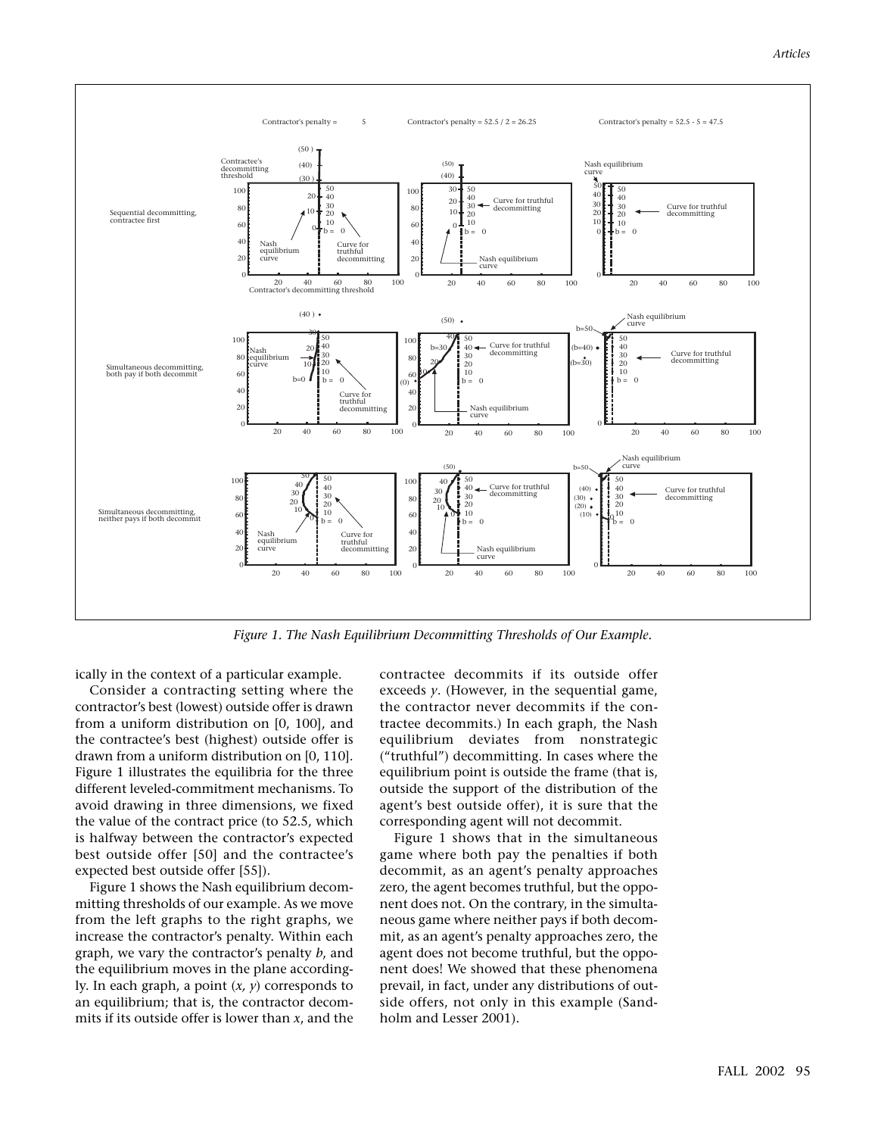

*Figure 1. The Nash Equilibrium Decommitting Thresholds of Our Example.*

ically in the context of a particular example.

Consider a contracting setting where the contractor's best (lowest) outside offer is drawn from a uniform distribution on [0, 100], and the contractee's best (highest) outside offer is drawn from a uniform distribution on [0, 110]. Figure 1 illustrates the equilibria for the three different leveled-commitment mechanisms. To avoid drawing in three dimensions, we fixed the value of the contract price (to 52.5, which is halfway between the contractor's expected best outside offer [50] and the contractee's expected best outside offer [55]).

Figure 1 shows the Nash equilibrium decommitting thresholds of our example. As we move from the left graphs to the right graphs, we increase the contractor's penalty. Within each graph, we vary the contractor's penalty *b*, and the equilibrium moves in the plane accordingly. In each graph, a point (*x, y*) corresponds to an equilibrium; that is, the contractor decommits if its outside offer is lower than *x*, and the

contractee decommits if its outside offer exceeds *y*. (However, in the sequential game, the contractor never decommits if the contractee decommits.) In each graph, the Nash equilibrium deviates from nonstrategic ("truthful") decommitting. In cases where the equilibrium point is outside the frame (that is, outside the support of the distribution of the agent's best outside offer), it is sure that the corresponding agent will not decommit.

Figure 1 shows that in the simultaneous game where both pay the penalties if both decommit, as an agent's penalty approaches zero, the agent becomes truthful, but the opponent does not. On the contrary, in the simultaneous game where neither pays if both decommit, as an agent's penalty approaches zero, the agent does not become truthful, but the opponent does! We showed that these phenomena prevail, in fact, under any distributions of outside offers, not only in this example (Sandholm and Lesser 2001).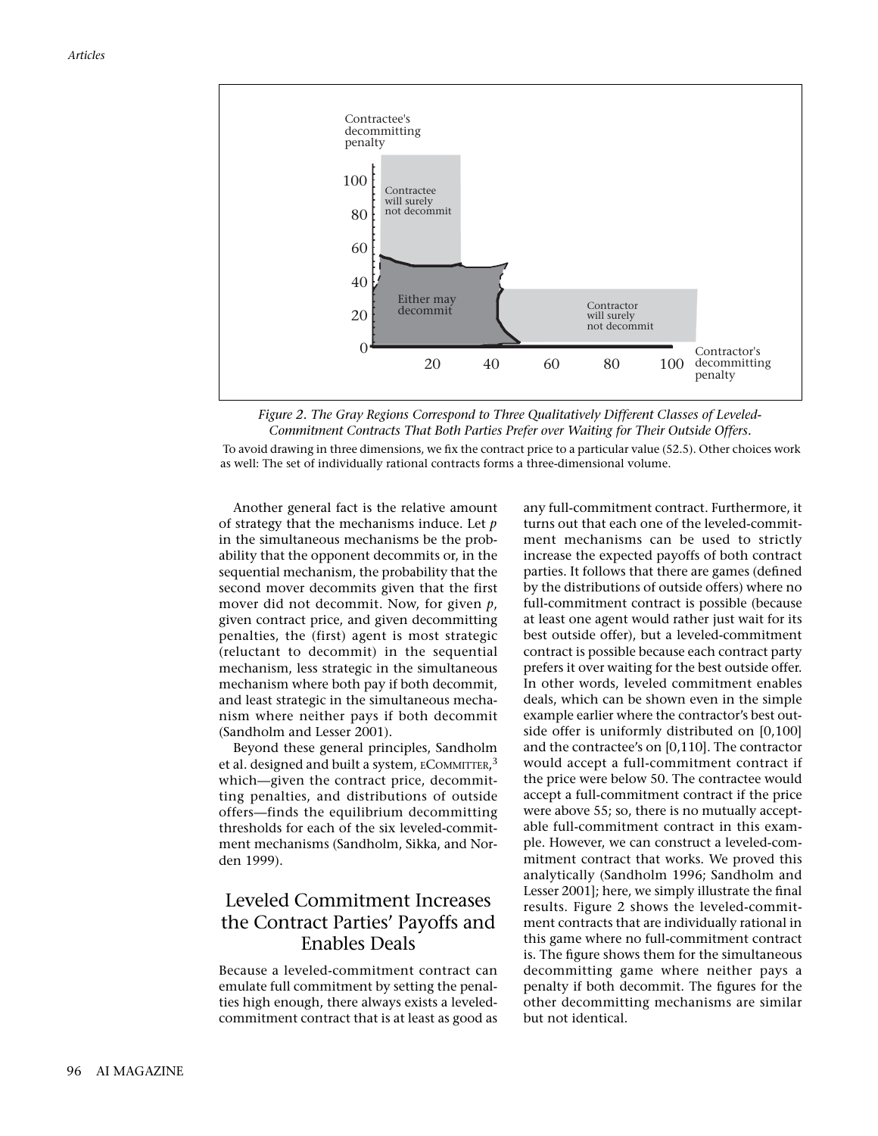



To avoid drawing in three dimensions, we fix the contract price to a particular value (52.5). Other choices work as well: The set of individually rational contracts forms a three-dimensional volume.

Another general fact is the relative amount of strategy that the mechanisms induce. Let *p* in the simultaneous mechanisms be the probability that the opponent decommits or, in the sequential mechanism, the probability that the second mover decommits given that the first mover did not decommit. Now, for given *p*, given contract price, and given decommitting penalties, the (first) agent is most strategic (reluctant to decommit) in the sequential mechanism, less strategic in the simultaneous mechanism where both pay if both decommit, and least strategic in the simultaneous mechanism where neither pays if both decommit (Sandholm and Lesser 2001).

Beyond these general principles, Sandholm et al. designed and built a system,  $\rm ECOMMITTER,^3$ which—given the contract price, decommitting penalties, and distributions of outside offers—finds the equilibrium decommitting thresholds for each of the six leveled-commitment mechanisms (Sandholm, Sikka, and Norden 1999).

## Leveled Commitment Increases the Contract Parties' Payoffs and Enables Deals

Because a leveled-commitment contract can emulate full commitment by setting the penalties high enough, there always exists a leveledcommitment contract that is at least as good as any full-commitment contract. Furthermore, it turns out that each one of the leveled-commitment mechanisms can be used to strictly increase the expected payoffs of both contract parties. It follows that there are games (defined by the distributions of outside offers) where no full-commitment contract is possible (because at least one agent would rather just wait for its best outside offer), but a leveled-commitment contract is possible because each contract party prefers it over waiting for the best outside offer. In other words, leveled commitment enables deals, which can be shown even in the simple example earlier where the contractor's best outside offer is uniformly distributed on [0,100] and the contractee's on [0,110]. The contractor would accept a full-commitment contract if the price were below 50. The contractee would accept a full-commitment contract if the price were above 55; so, there is no mutually acceptable full-commitment contract in this example. However, we can construct a leveled-commitment contract that works. We proved this analytically (Sandholm 1996; Sandholm and Lesser 2001]; here, we simply illustrate the final results. Figure 2 shows the leveled-commitment contracts that are individually rational in this game where no full-commitment contract is. The figure shows them for the simultaneous decommitting game where neither pays a penalty if both decommit. The figures for the other decommitting mechanisms are similar but not identical.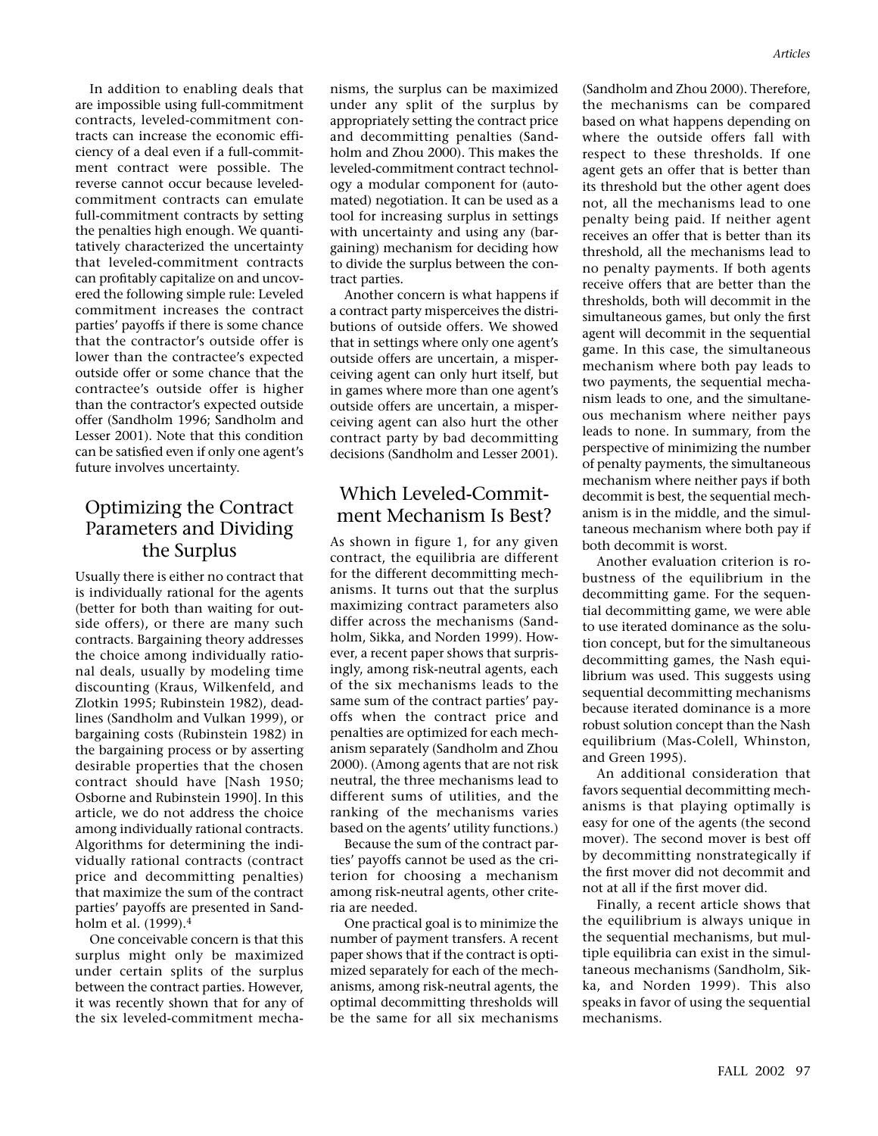In addition to enabling deals that are impossible using full-commitment contracts, leveled-commitment contracts can increase the economic efficiency of a deal even if a full-commitment contract were possible. The reverse cannot occur because leveledcommitment contracts can emulate full-commitment contracts by setting the penalties high enough. We quantitatively characterized the uncertainty that leveled-commitment contracts can profitably capitalize on and uncovered the following simple rule: Leveled commitment increases the contract parties' payoffs if there is some chance that the contractor's outside offer is lower than the contractee's expected outside offer or some chance that the contractee's outside offer is higher than the contractor's expected outside offer (Sandholm 1996; Sandholm and Lesser 2001). Note that this condition can be satisfied even if only one agent's future involves uncertainty.

# Optimizing the Contract Parameters and Dividing the Surplus

Usually there is either no contract that is individually rational for the agents (better for both than waiting for outside offers), or there are many such contracts. Bargaining theory addresses the choice among individually rational deals, usually by modeling time discounting (Kraus, Wilkenfeld, and Zlotkin 1995; Rubinstein 1982), deadlines (Sandholm and Vulkan 1999), or bargaining costs (Rubinstein 1982) in the bargaining process or by asserting desirable properties that the chosen contract should have [Nash 1950; Osborne and Rubinstein 1990]. In this article, we do not address the choice among individually rational contracts. Algorithms for determining the individually rational contracts (contract price and decommitting penalties) that maximize the sum of the contract parties' payoffs are presented in Sandholm et al. (1999).<sup>4</sup>

One conceivable concern is that this surplus might only be maximized under certain splits of the surplus between the contract parties. However, it was recently shown that for any of the six leveled-commitment mecha-

nisms, the surplus can be maximized under any split of the surplus by appropriately setting the contract price and decommitting penalties (Sandholm and Zhou 2000). This makes the leveled-commitment contract technology a modular component for (automated) negotiation. It can be used as a tool for increasing surplus in settings with uncertainty and using any (bargaining) mechanism for deciding how to divide the surplus between the contract parties.

Another concern is what happens if a contract party misperceives the distributions of outside offers. We showed that in settings where only one agent's outside offers are uncertain, a misperceiving agent can only hurt itself, but in games where more than one agent's outside offers are uncertain, a misperceiving agent can also hurt the other contract party by bad decommitting decisions (Sandholm and Lesser 2001).

# Which Leveled-Commitment Mechanism Is Best?

As shown in figure 1, for any given contract, the equilibria are different for the different decommitting mechanisms. It turns out that the surplus maximizing contract parameters also differ across the mechanisms (Sandholm, Sikka, and Norden 1999). However, a recent paper shows that surprisingly, among risk-neutral agents, each of the six mechanisms leads to the same sum of the contract parties' payoffs when the contract price and penalties are optimized for each mechanism separately (Sandholm and Zhou 2000). (Among agents that are not risk neutral, the three mechanisms lead to different sums of utilities, and the ranking of the mechanisms varies based on the agents' utility functions.)

Because the sum of the contract parties' payoffs cannot be used as the criterion for choosing a mechanism among risk-neutral agents, other criteria are needed.

One practical goal is to minimize the number of payment transfers. A recent paper shows that if the contract is optimized separately for each of the mechanisms, among risk-neutral agents, the optimal decommitting thresholds will be the same for all six mechanisms (Sandholm and Zhou 2000). Therefore, the mechanisms can be compared based on what happens depending on where the outside offers fall with respect to these thresholds. If one agent gets an offer that is better than its threshold but the other agent does not, all the mechanisms lead to one penalty being paid. If neither agent receives an offer that is better than its threshold, all the mechanisms lead to no penalty payments. If both agents receive offers that are better than the thresholds, both will decommit in the simultaneous games, but only the first agent will decommit in the sequential game. In this case, the simultaneous mechanism where both pay leads to two payments, the sequential mechanism leads to one, and the simultaneous mechanism where neither pays leads to none. In summary, from the perspective of minimizing the number of penalty payments, the simultaneous mechanism where neither pays if both decommit is best, the sequential mechanism is in the middle, and the simultaneous mechanism where both pay if both decommit is worst.

Another evaluation criterion is robustness of the equilibrium in the decommitting game. For the sequential decommitting game, we were able to use iterated dominance as the solution concept, but for the simultaneous decommitting games, the Nash equilibrium was used. This suggests using sequential decommitting mechanisms because iterated dominance is a more robust solution concept than the Nash equilibrium (Mas-Colell, Whinston, and Green 1995).

An additional consideration that favors sequential decommitting mechanisms is that playing optimally is easy for one of the agents (the second mover). The second mover is best off by decommitting nonstrategically if the first mover did not decommit and not at all if the first mover did.

Finally, a recent article shows that the equilibrium is always unique in the sequential mechanisms, but multiple equilibria can exist in the simultaneous mechanisms (Sandholm, Sikka, and Norden 1999). This also speaks in favor of using the sequential mechanisms.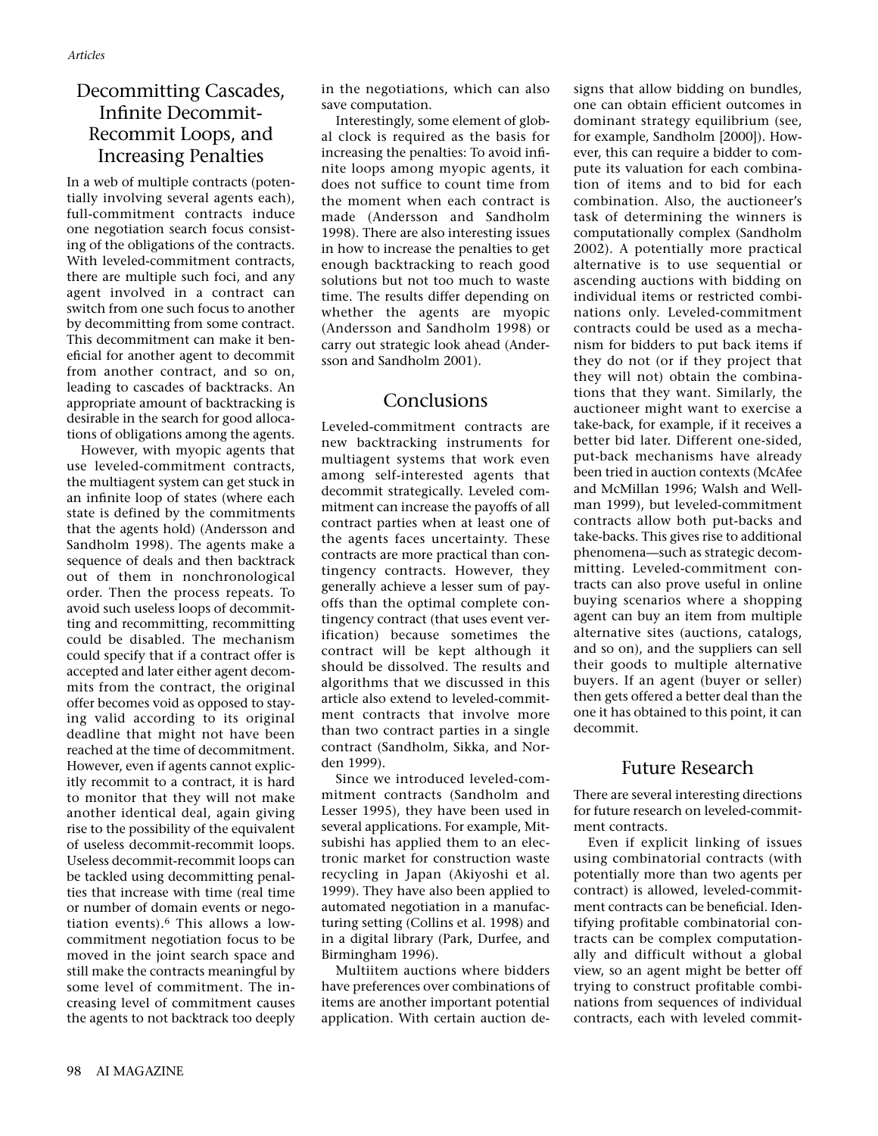# Decommitting Cascades, Infinite Decommit-Recommit Loops, and Increasing Penalties

In a web of multiple contracts (potentially involving several agents each), full-commitment contracts induce one negotiation search focus consisting of the obligations of the contracts. With leveled-commitment contracts, there are multiple such foci, and any agent involved in a contract can switch from one such focus to another by decommitting from some contract. This decommitment can make it beneficial for another agent to decommit from another contract, and so on, leading to cascades of backtracks. An appropriate amount of backtracking is desirable in the search for good allocations of obligations among the agents.

However, with myopic agents that use leveled-commitment contracts, the multiagent system can get stuck in an infinite loop of states (where each state is defined by the commitments that the agents hold) (Andersson and Sandholm 1998). The agents make a sequence of deals and then backtrack out of them in nonchronological order. Then the process repeats. To avoid such useless loops of decommitting and recommitting, recommitting could be disabled. The mechanism could specify that if a contract offer is accepted and later either agent decommits from the contract, the original offer becomes void as opposed to staying valid according to its original deadline that might not have been reached at the time of decommitment. However, even if agents cannot explicitly recommit to a contract, it is hard to monitor that they will not make another identical deal, again giving rise to the possibility of the equivalent of useless decommit-recommit loops. Useless decommit-recommit loops can be tackled using decommitting penalties that increase with time (real time or number of domain events or negotiation events).<sup>6</sup> This allows a lowcommitment negotiation focus to be moved in the joint search space and still make the contracts meaningful by some level of commitment. The increasing level of commitment causes the agents to not backtrack too deeply

in the negotiations, which can also save computation.

Interestingly, some element of global clock is required as the basis for increasing the penalties: To avoid infinite loops among myopic agents, it does not suffice to count time from the moment when each contract is made (Andersson and Sandholm 1998). There are also interesting issues in how to increase the penalties to get enough backtracking to reach good solutions but not too much to waste time. The results differ depending on whether the agents are myopic (Andersson and Sandholm 1998) or carry out strategic look ahead (Andersson and Sandholm 2001).

## Conclusions

Leveled-commitment contracts are new backtracking instruments for multiagent systems that work even among self-interested agents that decommit strategically. Leveled commitment can increase the payoffs of all contract parties when at least one of the agents faces uncertainty. These contracts are more practical than contingency contracts. However, they generally achieve a lesser sum of payoffs than the optimal complete contingency contract (that uses event verification) because sometimes the contract will be kept although it should be dissolved. The results and algorithms that we discussed in this article also extend to leveled-commitment contracts that involve more than two contract parties in a single contract (Sandholm, Sikka, and Norden 1999).

Since we introduced leveled-commitment contracts (Sandholm and Lesser 1995), they have been used in several applications. For example, Mitsubishi has applied them to an electronic market for construction waste recycling in Japan (Akiyoshi et al. 1999). They have also been applied to automated negotiation in a manufacturing setting (Collins et al. 1998) and in a digital library (Park, Durfee, and Birmingham 1996).

Multiitem auctions where bidders have preferences over combinations of items are another important potential application. With certain auction designs that allow bidding on bundles, one can obtain efficient outcomes in dominant strategy equilibrium (see, for example, Sandholm [2000]). However, this can require a bidder to compute its valuation for each combination of items and to bid for each combination. Also, the auctioneer's task of determining the winners is computationally complex (Sandholm 2002). A potentially more practical alternative is to use sequential or ascending auctions with bidding on individual items or restricted combinations only. Leveled-commitment contracts could be used as a mechanism for bidders to put back items if they do not (or if they project that they will not) obtain the combinations that they want. Similarly, the auctioneer might want to exercise a take-back, for example, if it receives a better bid later. Different one-sided, put-back mechanisms have already been tried in auction contexts (McAfee and McMillan 1996; Walsh and Wellman 1999), but leveled-commitment contracts allow both put-backs and take-backs. This gives rise to additional phenomena—such as strategic decommitting. Leveled-commitment contracts can also prove useful in online buying scenarios where a shopping agent can buy an item from multiple alternative sites (auctions, catalogs, and so on), and the suppliers can sell their goods to multiple alternative buyers. If an agent (buyer or seller) then gets offered a better deal than the one it has obtained to this point, it can decommit.

## Future Research

There are several interesting directions for future research on leveled-commitment contracts.

Even if explicit linking of issues using combinatorial contracts (with potentially more than two agents per contract) is allowed, leveled-commitment contracts can be beneficial. Identifying profitable combinatorial contracts can be complex computationally and difficult without a global view, so an agent might be better off trying to construct profitable combinations from sequences of individual contracts, each with leveled commit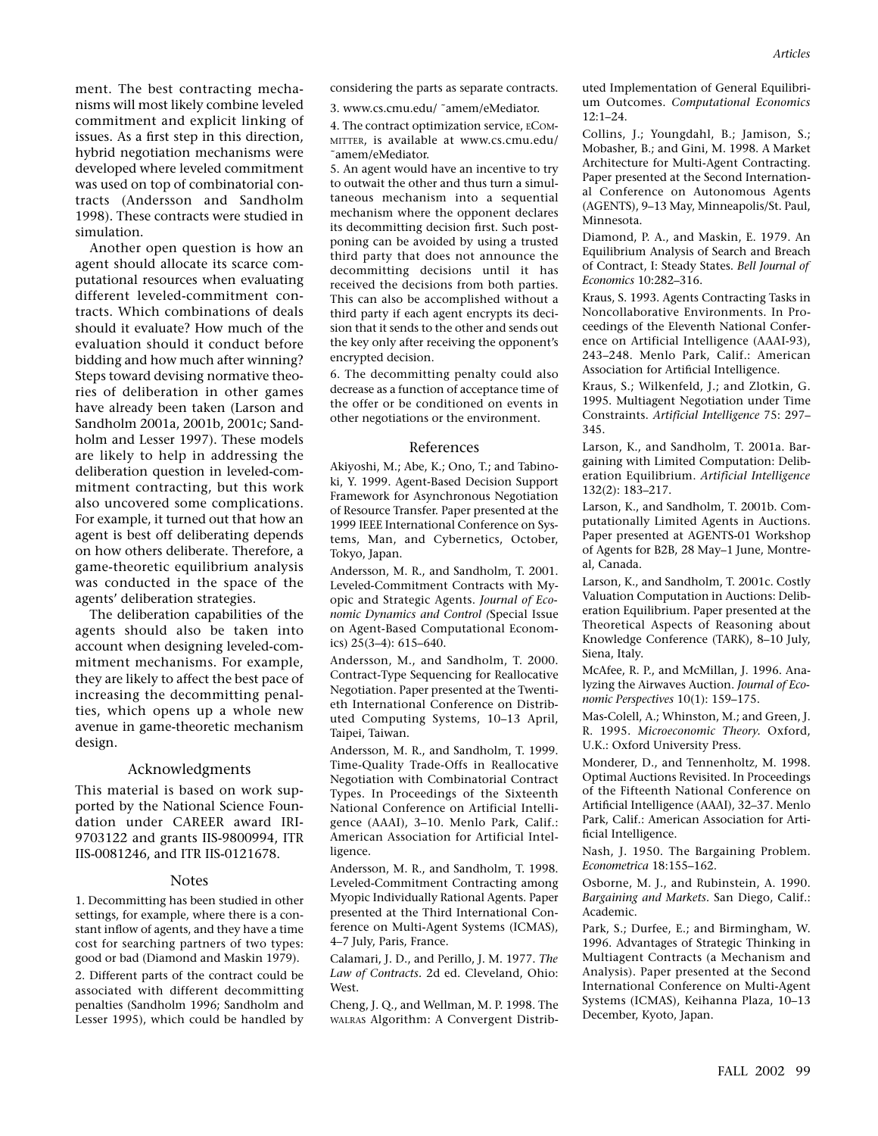ment. The best contracting mechanisms will most likely combine leveled commitment and explicit linking of issues. As a first step in this direction, hybrid negotiation mechanisms were developed where leveled commitment was used on top of combinatorial contracts (Andersson and Sandholm 1998). These contracts were studied in simulation.

Another open question is how an agent should allocate its scarce computational resources when evaluating different leveled-commitment contracts. Which combinations of deals should it evaluate? How much of the evaluation should it conduct before bidding and how much after winning? Steps toward devising normative theories of deliberation in other games have already been taken (Larson and Sandholm 2001a, 2001b, 2001c; Sandholm and Lesser 1997). These models are likely to help in addressing the deliberation question in leveled-commitment contracting, but this work also uncovered some complications. For example, it turned out that how an agent is best off deliberating depends on how others deliberate. Therefore, a game-theoretic equilibrium analysis was conducted in the space of the agents' deliberation strategies.

The deliberation capabilities of the agents should also be taken into account when designing leveled-commitment mechanisms. For example, they are likely to affect the best pace of increasing the decommitting penalties, which opens up a whole new avenue in game-theoretic mechanism design.

#### Acknowledgments

This material is based on work supported by the National Science Foundation under CAREER award IRI-9703122 and grants IIS-9800994, ITR IIS-0081246, and ITR IIS-0121678.

#### **Notes**

1. Decommitting has been studied in other settings, for example, where there is a constant inflow of agents, and they have a time cost for searching partners of two types: good or bad (Diamond and Maskin 1979). 2. Different parts of the contract could be associated with different decommitting penalties (Sandholm 1996; Sandholm and Lesser 1995), which could be handled by

considering the parts as separate contracts.

3. www.cs.cmu.edu/ ˜amem/eMediator.

4. The contract optimization service, ECOM-MITTER, is available at www.cs.cmu.edu/ ˜amem/eMediator.

5. An agent would have an incentive to try to outwait the other and thus turn a simultaneous mechanism into a sequential mechanism where the opponent declares its decommitting decision first. Such postponing can be avoided by using a trusted third party that does not announce the decommitting decisions until it has received the decisions from both parties. This can also be accomplished without a third party if each agent encrypts its decision that it sends to the other and sends out the key only after receiving the opponent's encrypted decision.

6. The decommitting penalty could also decrease as a function of acceptance time of the offer or be conditioned on events in other negotiations or the environment.

#### References

Akiyoshi, M.; Abe, K.; Ono, T.; and Tabinoki, Y. 1999. Agent-Based Decision Support Framework for Asynchronous Negotiation of Resource Transfer. Paper presented at the 1999 IEEE International Conference on Systems, Man, and Cybernetics, October, Tokyo, Japan.

Andersson, M. R., and Sandholm, T. 2001. Leveled-Commitment Contracts with Myopic and Strategic Agents. *Journal of Economic Dynamics and Control (*Special Issue on Agent-Based Computational Economics) 25(3–4): 615–640.

Andersson, M., and Sandholm, T. 2000. Contract-Type Sequencing for Reallocative Negotiation. Paper presented at the Twentieth International Conference on Distributed Computing Systems, 10–13 April, Taipei, Taiwan.

Andersson, M. R., and Sandholm, T. 1999. Time-Quality Trade-Offs in Reallocative Negotiation with Combinatorial Contract Types. In Proceedings of the Sixteenth National Conference on Artificial Intelligence (AAAI), 3–10. Menlo Park, Calif.: American Association for Artificial Intelligence.

Andersson, M. R., and Sandholm, T. 1998. Leveled-Commitment Contracting among Myopic Individually Rational Agents. Paper presented at the Third International Conference on Multi-Agent Systems (ICMAS), 4–7 July, Paris, France.

Calamari, J. D., and Perillo, J. M. 1977. *The Law of Contracts.* 2d ed. Cleveland, Ohio: West.

Cheng, J. Q., and Wellman, M. P. 1998. The WALRAS Algorithm: A Convergent Distributed Implementation of General Equilibrium Outcomes. *Computational Economics* 12:1–24.

Collins, J.; Youngdahl, B.; Jamison, S.; Mobasher, B.; and Gini, M. 1998. A Market Architecture for Multi-Agent Contracting. Paper presented at the Second International Conference on Autonomous Agents (AGENTS), 9–13 May, Minneapolis/St. Paul, Minnesota.

Diamond, P. A., and Maskin, E. 1979. An Equilibrium Analysis of Search and Breach of Contract, I: Steady States. *Bell Journal of Economics* 10:282–316.

Kraus, S. 1993. Agents Contracting Tasks in Noncollaborative Environments. In Proceedings of the Eleventh National Conference on Artificial Intelligence (AAAI-93), 243–248. Menlo Park, Calif.: American Association for Artificial Intelligence.

Kraus, S.; Wilkenfeld, J.; and Zlotkin, G. 1995. Multiagent Negotiation under Time Constraints. *Artificial Intelligence* 75: 297– 345.

Larson, K., and Sandholm, T. 2001a. Bargaining with Limited Computation: Deliberation Equilibrium. *Artificial Intelligence* 132(2): 183–217.

Larson, K., and Sandholm, T. 2001b. Computationally Limited Agents in Auctions. Paper presented at AGENTS-01 Workshop of Agents for B2B, 28 May–1 June, Montreal, Canada.

Larson, K., and Sandholm, T. 2001c. Costly Valuation Computation in Auctions: Deliberation Equilibrium. Paper presented at the Theoretical Aspects of Reasoning about Knowledge Conference (TARK), 8–10 July, Siena, Italy.

McAfee, R. P., and McMillan, J. 1996. Analyzing the Airwaves Auction. *Journal of Economic Perspectives* 10(1): 159–175.

Mas-Colell, A.; Whinston, M.; and Green, J. R. 1995. *Microeconomic Theory.* Oxford, U.K.: Oxford University Press.

Monderer, D., and Tennenholtz, M. 1998. Optimal Auctions Revisited. In Proceedings of the Fifteenth National Conference on Artificial Intelligence (AAAI), 32–37. Menlo Park, Calif.: American Association for Artificial Intelligence.

Nash, J. 1950. The Bargaining Problem. *Econometrica* 18:155–162.

Osborne, M. J., and Rubinstein, A. 1990. *Bargaining and Markets.* San Diego, Calif.: Academic.

Park, S.; Durfee, E.; and Birmingham, W. 1996. Advantages of Strategic Thinking in Multiagent Contracts (a Mechanism and Analysis). Paper presented at the Second International Conference on Multi-Agent Systems (ICMAS), Keihanna Plaza, 10–13 December, Kyoto, Japan.